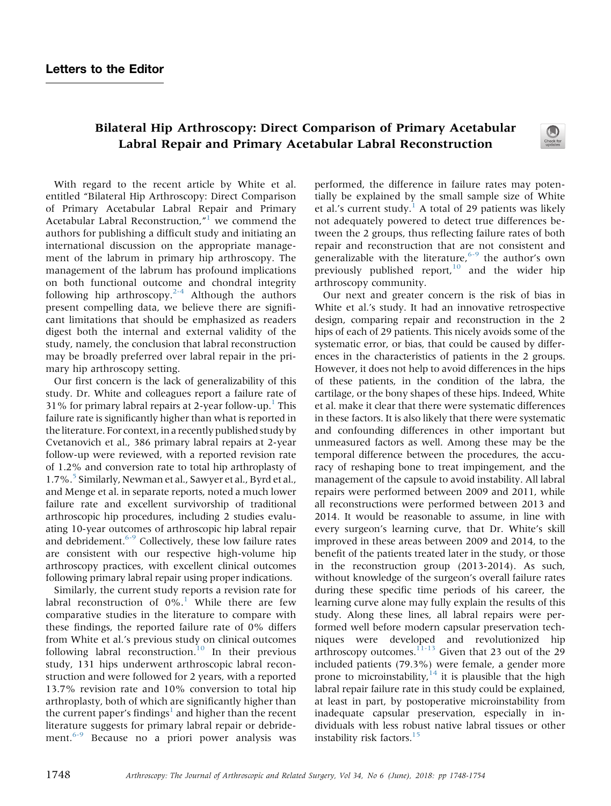# <span id="page-0-0"></span>Bilateral Hip Arthroscopy: Direct Comparison of Primary Acetabular Labral Repair and Primary Acetabular Labral Reconstruction

With regard to the recent article by White et al. entitled "Bilateral Hip Arthroscopy: Direct Comparison of Primary Acetabular Labral Repair and Primary Acetabular Labral Reconstruction," [1](#page-2-0) we commend the authors for publishing a difficult study and initiating an international discussion on the appropriate management of the labrum in primary hip arthroscopy. The management of the labrum has profound implications on both functional outcome and chondral integrity following hip arthroscopy.<sup>[2-4](#page-2-0)</sup> Although the authors present compelling data, we believe there are significant limitations that should be emphasized as readers digest both the internal and external validity of the study, namely, the conclusion that labral reconstruction may be broadly preferred over labral repair in the primary hip arthroscopy setting.

Our first concern is the lack of generalizability of this study. Dr. White and colleagues report a failure rate of 3[1](#page-2-0)% for primary labral repairs at 2-year follow-up.<sup>1</sup> This failure rate is significantly higher than what is reported in the literature. For context, in a recently published study by Cvetanovich et al., 386 primary labral repairs at 2-year follow-up were reviewed, with a reported revision rate of 1.2% and conversion rate to total hip arthroplasty of 1.7%.<sup>5</sup> Similarly, Newman et al., Sawyer et al., Byrd et al., and Menge et al. in separate reports, noted a much lower failure rate and excellent survivorship of traditional arthroscopic hip procedures, including 2 studies evaluating 10-year outcomes of arthroscopic hip labral repair and debridement.<sup>6-9</sup> Collectively, these low failure rates are consistent with our respective high-volume hip arthroscopy practices, with excellent clinical outcomes following primary labral repair using proper indications.

Similarly, the current study reports a revision rate for labral reconstruction of  $0\%$ .<sup>[1](#page-2-0)</sup> While there are few comparative studies in the literature to compare with these findings, the reported failure rate of 0% differs from White et al.'s previous study on clinical outcomes following labral reconstruction.<sup>[10](#page-2-0)</sup> In their previous study, 131 hips underwent arthroscopic labral reconstruction and were followed for 2 years, with a reported 13.7% revision rate and 10% conversion to total hip arthroplasty, both of which are significantly higher than the current paper's findings<sup>[1](#page-2-0)</sup> and higher than the recent literature suggests for primary labral repair or debride-ment.<sup>[6-9](#page-2-0)</sup> Because no a priori power analysis was

performed, the difference in failure rates may potentially be explained by the small sample size of White et al.'s current study.<sup>[1](#page-2-0)</sup> A total of 29 patients was likely not adequately powered to detect true differences between the 2 groups, thus reflecting failure rates of both repair and reconstruction that are not consistent and generalizable with the literature,<sup>[6-9](#page-2-0)</sup> the author's own previously published report, $10$  and the wider hip arthroscopy community.

Our next and greater concern is the risk of bias in White et al.'s study. It had an innovative retrospective design, comparing repair and reconstruction in the 2 hips of each of 29 patients. This nicely avoids some of the systematic error, or bias, that could be caused by differences in the characteristics of patients in the 2 groups. However, it does not help to avoid differences in the hips of these patients, in the condition of the labra, the cartilage, or the bony shapes of these hips. Indeed, White et al. make it clear that there were systematic differences in these factors. It is also likely that there were systematic and confounding differences in other important but unmeasured factors as well. Among these may be the temporal difference between the procedures, the accuracy of reshaping bone to treat impingement, and the management of the capsule to avoid instability. All labral repairs were performed between 2009 and 2011, while all reconstructions were performed between 2013 and 2014. It would be reasonable to assume, in line with every surgeon's learning curve, that Dr. White's skill improved in these areas between 2009 and 2014, to the benefit of the patients treated later in the study, or those in the reconstruction group (2013-2014). As such, without knowledge of the surgeon's overall failure rates during these specific time periods of his career, the learning curve alone may fully explain the results of this study. Along these lines, all labral repairs were performed well before modern capsular preservation techniques were developed and revolutionized hip arthroscopy outcomes.<sup>[11-13](#page-2-0)</sup> Given that 23 out of the 29 included patients (79.3%) were female, a gender more prone to microinstability, $14$  it is plausible that the high labral repair failure rate in this study could be explained, at least in part, by postoperative microinstability from inadequate capsular preservation, especially in individuals with less robust native labral tissues or other instability risk factors[.15](#page-2-0)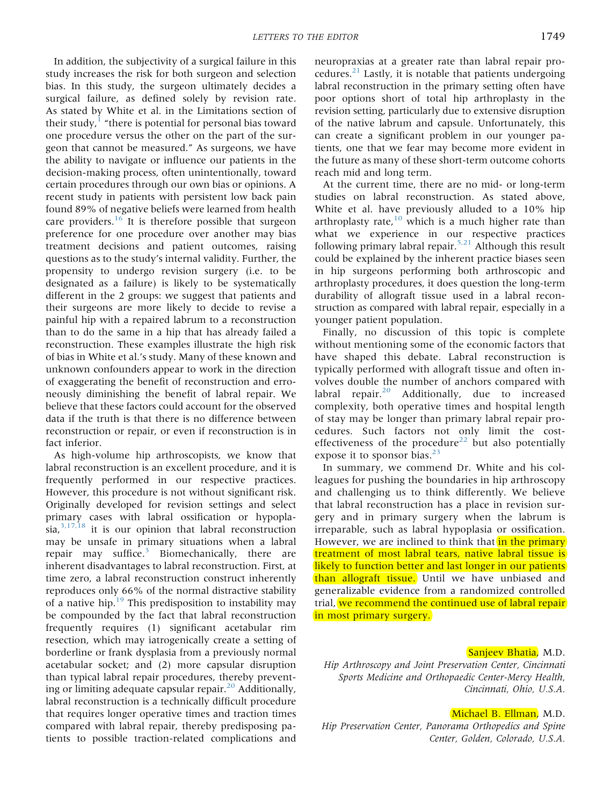In addition, the subjectivity of a surgical failure in this study increases the risk for both surgeon and selection bias. In this study, the surgeon ultimately decides a surgical failure, as defined solely by revision rate. As stated by White et al. in the Limitations section of their study, $\frac{1}{1}$  $\frac{1}{1}$  $\frac{1}{1}$  "there is potential for personal bias toward one procedure versus the other on the part of the surgeon that cannot be measured." As surgeons, we have the ability to navigate or influence our patients in the decision-making process, often unintentionally, toward certain procedures through our own bias or opinions. A recent study in patients with persistent low back pain found 89% of negative beliefs were learned from health care providers.<sup>[16](#page-2-0)</sup> It is therefore possible that surgeon preference for one procedure over another may bias treatment decisions and patient outcomes, raising questions as to the study's internal validity. Further, the propensity to undergo revision surgery (i.e. to be designated as a failure) is likely to be systematically different in the 2 groups: we suggest that patients and their surgeons are more likely to decide to revise a painful hip with a repaired labrum to a reconstruction than to do the same in a hip that has already failed a reconstruction. These examples illustrate the high risk of bias in White et al.'s study. Many of these known and unknown confounders appear to work in the direction of exaggerating the benefit of reconstruction and erroneously diminishing the benefit of labral repair. We believe that these factors could account for the observed data if the truth is that there is no difference between reconstruction or repair, or even if reconstruction is in fact inferior.

As high-volume hip arthroscopists, we know that labral reconstruction is an excellent procedure, and it is frequently performed in our respective practices. However, this procedure is not without significant risk. Originally developed for revision settings and select primary cases with labral ossification or hypopla- $sia, \frac{3,17,18}{ }$  $sia, \frac{3,17,18}{ }$  $sia, \frac{3,17,18}{ }$  it is our opinion that labral reconstruction may be unsafe in primary situations when a labral repair may suffice. $3$  Biomechanically, there are inherent disadvantages to labral reconstruction. First, at time zero, a labral reconstruction construct inherently reproduces only 66% of the normal distractive stability of a native hip.[19](#page-0-0) This predisposition to instability may be compounded by the fact that labral reconstruction frequently requires (1) significant acetabular rim resection, which may iatrogenically create a setting of borderline or frank dysplasia from a previously normal acetabular socket; and (2) more capsular disruption than typical labral repair procedures, thereby preventing or limiting adequate capsular repair. $^{20}$  $^{20}$  $^{20}$  Additionally, labral reconstruction is a technically difficult procedure that requires longer operative times and traction times compared with labral repair, thereby predisposing patients to possible traction-related complications and

neuropraxias at a greater rate than labral repair procedures. $^{21}$  $^{21}$  $^{21}$  Lastly, it is notable that patients undergoing labral reconstruction in the primary setting often have poor options short of total hip arthroplasty in the revision setting, particularly due to extensive disruption of the native labrum and capsule. Unfortunately, this can create a significant problem in our younger patients, one that we fear may become more evident in the future as many of these short-term outcome cohorts reach mid and long term.

At the current time, there are no mid- or long-term studies on labral reconstruction. As stated above, White et al. have previously alluded to a 10% hip arthroplasty rate, $10$  which is a much higher rate than what we experience in our respective practices following primary labral repair.<sup>5,21</sup> Although this result could be explained by the inherent practice biases seen in hip surgeons performing both arthroscopic and arthroplasty procedures, it does question the long-term durability of allograft tissue used in a labral reconstruction as compared with labral repair, especially in a younger patient population.

Finally, no discussion of this topic is complete without mentioning some of the economic factors that have shaped this debate. Labral reconstruction is typically performed with allograft tissue and often involves double the number of anchors compared with labral repair.<sup>[20](#page-0-0)</sup> Additionally, due to increased complexity, both operative times and hospital length of stay may be longer than primary labral repair procedures. Such factors not only limit the cost-effectiveness of the procedure<sup>[22](#page-0-0)</sup> but also potentially expose it to sponsor bias.<sup>[23](#page-0-0)</sup>

In summary, we commend Dr. White and his colleagues for pushing the boundaries in hip arthroscopy and challenging us to think differently. We believe that labral reconstruction has a place in revision surgery and in primary surgery when the labrum is irreparable, such as labral hypoplasia or ossification. However, we are inclined to think that in the primary treatment of most labral tears, native labral tissue is likely to function better and last longer in our patients than allograft tissue. Until we have unbiased and generalizable evidence from a randomized controlled trial, we recommend the continued use of labral repair in most primary surgery.

#### Sanjeev Bhatia, M.D.

Hip Arthroscopy and Joint Preservation Center, Cincinnati Sports Medicine and Orthopaedic Center-Mercy Health, Cincinnati, Ohio, U.S.A.

Michael B. Ellman, M.D. Hip Preservation Center, Panorama Orthopedics and Spine Center, Golden, Colorado, U.S.A.